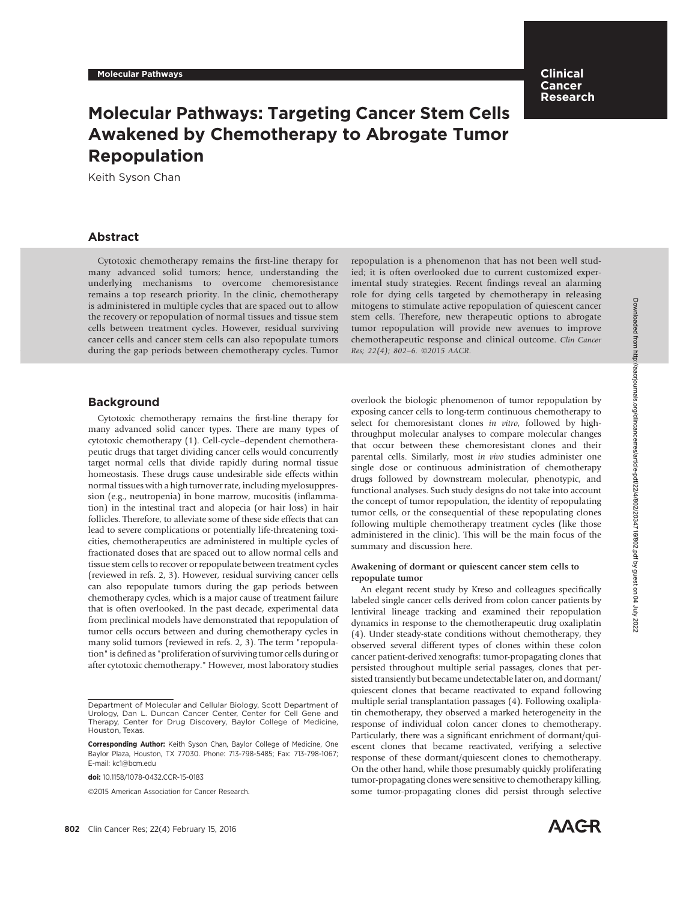Clinical **Cancer** Research

# Molecular Pathways: Targeting Cancer Stem Cells Awakened by Chemotherapy to Abrogate Tumor Repopulation

Keith Syson Chan

## Abstract

Cytotoxic chemotherapy remains the first-line therapy for many advanced solid tumors; hence, understanding the underlying mechanisms to overcome chemoresistance remains a top research priority. In the clinic, chemotherapy is administered in multiple cycles that are spaced out to allow the recovery or repopulation of normal tissues and tissue stem cells between treatment cycles. However, residual surviving cancer cells and cancer stem cells can also repopulate tumors during the gap periods between chemotherapy cycles. Tumor

### Background

Cytotoxic chemotherapy remains the first-line therapy for many advanced solid cancer types. There are many types of cytotoxic chemotherapy (1). Cell-cycle–dependent chemotherapeutic drugs that target dividing cancer cells would concurrently target normal cells that divide rapidly during normal tissue homeostasis. These drugs cause undesirable side effects within normal tissues with a high turnover rate, including myelosuppression (e.g., neutropenia) in bone marrow, mucositis (inflammation) in the intestinal tract and alopecia (or hair loss) in hair follicles. Therefore, to alleviate some of these side effects that can lead to severe complications or potentially life-threatening toxicities, chemotherapeutics are administered in multiple cycles of fractionated doses that are spaced out to allow normal cells and tissue stem cells to recover or repopulate between treatment cycles (reviewed in refs. 2, 3). However, residual surviving cancer cells can also repopulate tumors during the gap periods between chemotherapy cycles, which is a major cause of treatment failure that is often overlooked. In the past decade, experimental data from preclinical models have demonstrated that repopulation of tumor cells occurs between and during chemotherapy cycles in many solid tumors (reviewed in refs. 2, 3). The term "repopulation" is defined as "proliferation of surviving tumor cells during or after cytotoxic chemotherapy." However, most laboratory studies

2015 American Association for Cancer Research.

repopulation is a phenomenon that has not been well studied; it is often overlooked due to current customized experimental study strategies. Recent findings reveal an alarming role for dying cells targeted by chemotherapy in releasing mitogens to stimulate active repopulation of quiescent cancer stem cells. Therefore, new therapeutic options to abrogate tumor repopulation will provide new avenues to improve chemotherapeutic response and clinical outcome. Clin Cancer Res; 22(4); 802-6. ©2015 AACR.

overlook the biologic phenomenon of tumor repopulation by exposing cancer cells to long-term continuous chemotherapy to select for chemoresistant clones in vitro, followed by highthroughput molecular analyses to compare molecular changes that occur between these chemoresistant clones and their parental cells. Similarly, most in vivo studies administer one single dose or continuous administration of chemotherapy drugs followed by downstream molecular, phenotypic, and functional analyses. Such study designs do not take into account the concept of tumor repopulation, the identity of repopulating tumor cells, or the consequential of these repopulating clones following multiple chemotherapy treatment cycles (like those administered in the clinic). This will be the main focus of the summary and discussion here.

#### Awakening of dormant or quiescent cancer stem cells to repopulate tumor

An elegant recent study by Kreso and colleagues specifically labeled single cancer cells derived from colon cancer patients by lentiviral lineage tracking and examined their repopulation dynamics in response to the chemotherapeutic drug oxaliplatin (4). Under steady-state conditions without chemotherapy, they observed several different types of clones within these colon cancer patient-derived xenografts: tumor-propagating clones that persisted throughout multiple serial passages, clones that persisted transiently but became undetectable later on, and dormant/ quiescent clones that became reactivated to expand following multiple serial transplantation passages (4). Following oxaliplatin chemotherapy, they observed a marked heterogeneity in the response of individual colon cancer clones to chemotherapy. Particularly, there was a significant enrichment of dormant/quiescent clones that became reactivated, verifying a selective response of these dormant/quiescent clones to chemotherapy. On the other hand, while those presumably quickly proliferating tumor-propagating clones were sensitive to chemotherapy killing, some tumor-propagating clones did persist through selective



Department of Molecular and Cellular Biology, Scott Department of Urology, Dan L. Duncan Cancer Center, Center for Cell Gene and Therapy, Center for Drug Discovery, Baylor College of Medicine, Houston, Texas.

Corresponding Author: Keith Syson Chan, Baylor College of Medicine, One Baylor Plaza, Houston, TX 77030. Phone: 713-798-5485; Fax: 713-798-1067; E-mail: kc1@bcm.edu

doi: 10.1158/1078-0432.CCR-15-0183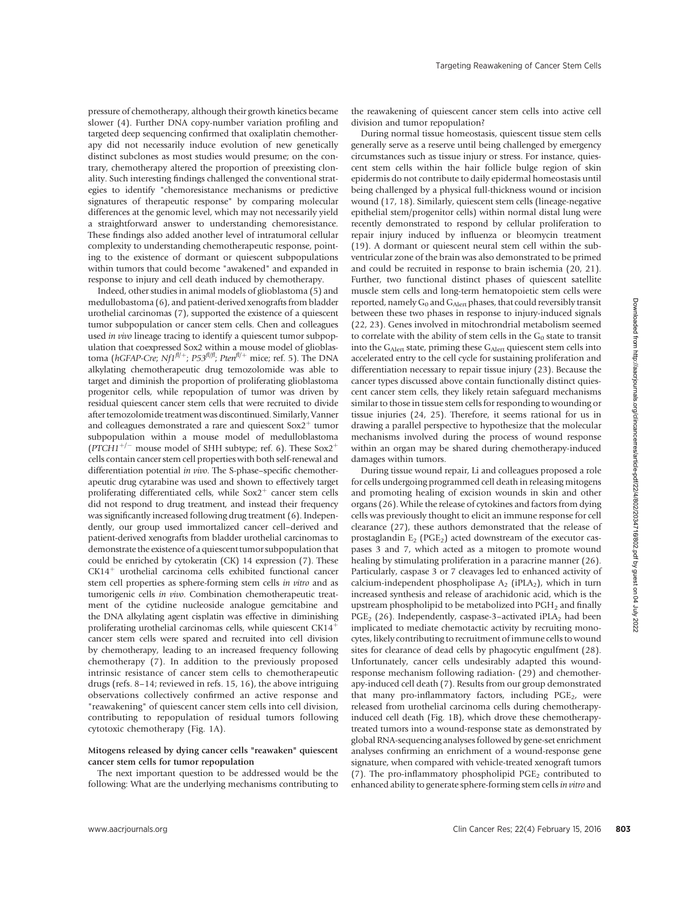pressure of chemotherapy, although their growth kinetics became slower (4). Further DNA copy-number variation profiling and targeted deep sequencing confirmed that oxaliplatin chemotherapy did not necessarily induce evolution of new genetically distinct subclones as most studies would presume; on the contrary, chemotherapy altered the proportion of preexisting clonality. Such interesting findings challenged the conventional strategies to identify "chemoresistance mechanisms or predictive signatures of therapeutic response" by comparing molecular differences at the genomic level, which may not necessarily yield a straightforward answer to understanding chemoresistance. These findings also added another level of intratumoral cellular complexity to understanding chemotherapeutic response, pointing to the existence of dormant or quiescent subpopulations within tumors that could become "awakened" and expanded in

response to injury and cell death induced by chemotherapy. Indeed, other studies in animal models of glioblastoma (5) and medullobastoma (6), and patient-derived xenografts from bladder urothelial carcinomas (7), supported the existence of a quiescent tumor subpopulation or cancer stem cells. Chen and colleagues used in vivo lineage tracing to identify a quiescent tumor subpopulation that coexpressed Sox2 within a mouse model of glioblastoma (hGFAP-Cre;  $Nf1^{\frac{n}{r}}$ ;  $P53^{\frac{n}{r}}$ ;  $Pten^{\frac{n}{r}}$  mice; ref. 5). The DNA alkylating chemotherapeutic drug temozolomide was able to target and diminish the proportion of proliferating glioblastoma progenitor cells, while repopulation of tumor was driven by residual quiescent cancer stem cells that were recruited to divide after temozolomide treatment was discontinued. Similarly, Vanner and colleagues demonstrated a rare and quiescent  $Sox2<sup>+</sup>$  tumor subpopulation within a mouse model of medulloblastoma  $(PTCH1^{+/-}$  mouse model of SHH subtype; ref. 6). These Sox2<sup>+</sup> cells contain cancer stem cell properties with both self-renewal and differentiation potential in vivo. The S-phase–specific chemotherapeutic drug cytarabine was used and shown to effectively target proliferating differentiated cells, while  $Sox2<sup>+</sup>$  cancer stem cells did not respond to drug treatment, and instead their frequency was significantly increased following drug treatment (6). Independently, our group used immortalized cancer cell–derived and patient-derived xenografts from bladder urothelial carcinomas to demonstrate the existence of a quiescent tumor subpopulation that could be enriched by cytokeratin (CK) 14 expression (7). These  $CK14<sup>+</sup>$  urothelial carcinoma cells exhibited functional cancer stem cell properties as sphere-forming stem cells in vitro and as tumorigenic cells in vivo. Combination chemotherapeutic treatment of the cytidine nucleoside analogue gemcitabine and the DNA alkylating agent cisplatin was effective in diminishing proliferating urothelial carcinomas cells, while quiescent  $CK14<sup>+</sup>$ cancer stem cells were spared and recruited into cell division by chemotherapy, leading to an increased frequency following chemotherapy (7). In addition to the previously proposed intrinsic resistance of cancer stem cells to chemotherapeutic drugs (refs. 8–14; reviewed in refs. 15, 16), the above intriguing observations collectively confirmed an active response and "reawakening" of quiescent cancer stem cells into cell division, contributing to repopulation of residual tumors following cytotoxic chemotherapy (Fig. 1A).

#### Mitogens released by dying cancer cells "reawaken" quiescent cancer stem cells for tumor repopulation

The next important question to be addressed would be the following: What are the underlying mechanisms contributing to

the reawakening of quiescent cancer stem cells into active cell division and tumor repopulation?

During normal tissue homeostasis, quiescent tissue stem cells generally serve as a reserve until being challenged by emergency circumstances such as tissue injury or stress. For instance, quiescent stem cells within the hair follicle bulge region of skin epidermis do not contribute to daily epidermal homeostasis until being challenged by a physical full-thickness wound or incision wound (17, 18). Similarly, quiescent stem cells (lineage-negative epithelial stem/progenitor cells) within normal distal lung were recently demonstrated to respond by cellular proliferation to repair injury induced by influenza or bleomycin treatment (19). A dormant or quiescent neural stem cell within the subventricular zone of the brain was also demonstrated to be primed and could be recruited in response to brain ischemia (20, 21). Further, two functional distinct phases of quiescent satellite muscle stem cells and long-term hematopoietic stem cells were reported, namely  $G_0$  and  $G_{Alert}$  phases, that could reversibly transit between these two phases in response to injury-induced signals (22, 23). Genes involved in mitochrondrial metabolism seemed to correlate with the ability of stem cells in the  $G_0$  state to transit into the  $G_{\text{Alert}}$  state, priming these  $G_{\text{Alert}}$  quiescent stem cells into accelerated entry to the cell cycle for sustaining proliferation and differentiation necessary to repair tissue injury (23). Because the cancer types discussed above contain functionally distinct quiescent cancer stem cells, they likely retain safeguard mechanisms similar to those in tissue stem cells for responding to wounding or tissue injuries (24, 25). Therefore, it seems rational for us in drawing a parallel perspective to hypothesize that the molecular mechanisms involved during the process of wound response within an organ may be shared during chemotherapy-induced damages within tumors.

During tissue wound repair, Li and colleagues proposed a role for cells undergoing programmed cell death in releasing mitogens and promoting healing of excision wounds in skin and other organs (26). While the release of cytokines and factors from dying cells was previously thought to elicit an immune response for cell clearance (27), these authors demonstrated that the release of prostaglandin  $E_2$  (PGE<sub>2</sub>) acted downstream of the executor caspases 3 and 7, which acted as a mitogen to promote wound healing by stimulating proliferation in a paracrine manner (26). Particularly, caspase 3 or 7 cleavages led to enhanced activity of calcium-independent phospholipase  $A_2$  (iPLA<sub>2</sub>), which in turn increased synthesis and release of arachidonic acid, which is the upstream phospholipid to be metabolized into  $PGH<sub>2</sub>$  and finally  $PGE<sub>2</sub>$  (26). Independently, caspase-3–activated iPLA<sub>2</sub> had been implicated to mediate chemotactic activity by recruiting monocytes, likely contributing to recruitment of immune cells to wound sites for clearance of dead cells by phagocytic engulfment (28). Unfortunately, cancer cells undesirably adapted this woundresponse mechanism following radiation- (29) and chemotherapy-induced cell death (7). Results from our group demonstrated that many pro-inflammatory factors, including  $PGE_2$ , were released from urothelial carcinoma cells during chemotherapyinduced cell death (Fig. 1B), which drove these chemotherapytreated tumors into a wound-response state as demonstrated by global RNA-sequencing analyses followed by gene-set enrichment analyses confirming an enrichment of a wound-response gene signature, when compared with vehicle-treated xenograft tumors (7). The pro-inflammatory phospholipid  $PGE<sub>2</sub>$  contributed to enhanced ability to generate sphere-forming stem cells in vitro and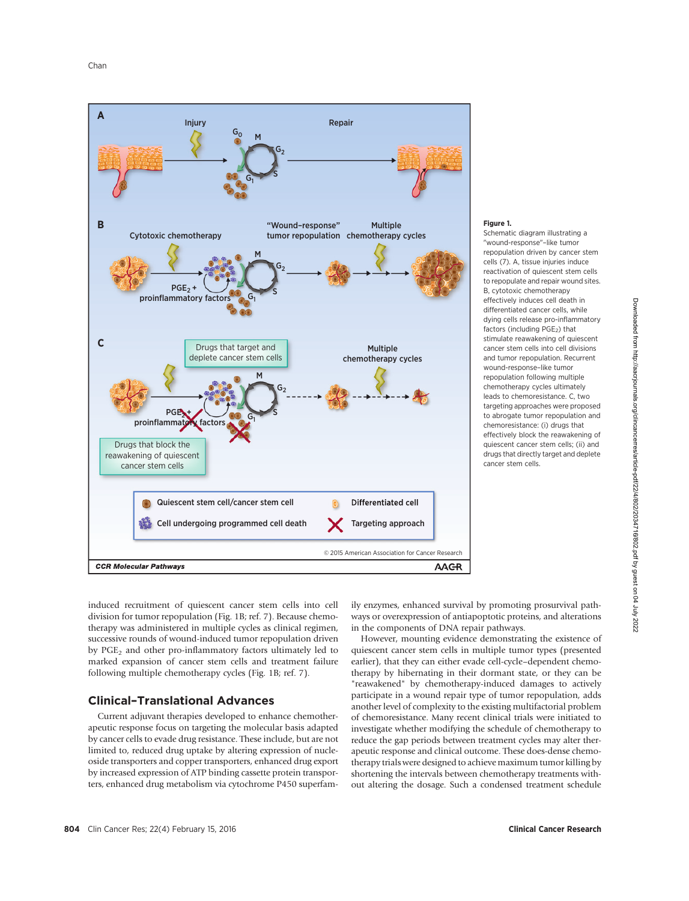

#### Figure 1.

Schematic diagram illustrating a "wound-response"–like tumor repopulation driven by cancer stem cells (7). A, tissue injuries induce reactivation of quiescent stem cells to repopulate and repair wound sites. B, cytotoxic chemotherapy effectively induces cell death in differentiated cancer cells, while dying cells release pro-inflammatory factors (including PGE<sub>2</sub>) that stimulate reawakening of quiescent cancer stem cells into cell divisions and tumor repopulation. Recurrent wound-response–like tumor repopulation following multiple chemotherapy cycles ultimately leads to chemoresistance. C, two targeting approaches were proposed to abrogate tumor repopulation and chemoresistance: (i) drugs that effectively block the reawakening of quiescent cancer stem cells; (ii) and drugs that directly target and deplete cancer stem cells.

induced recruitment of quiescent cancer stem cells into cell division for tumor repopulation (Fig. 1B; ref. 7). Because chemotherapy was administered in multiple cycles as clinical regimen, successive rounds of wound-induced tumor repopulation driven by PGE<sub>2</sub> and other pro-inflammatory factors ultimately led to marked expansion of cancer stem cells and treatment failure following multiple chemotherapy cycles (Fig. 1B; ref. 7).

## Clinical–Translational Advances

Current adjuvant therapies developed to enhance chemotherapeutic response focus on targeting the molecular basis adapted by cancer cells to evade drug resistance. These include, but are not limited to, reduced drug uptake by altering expression of nucleoside transporters and copper transporters, enhanced drug export by increased expression of ATP binding cassette protein transporters, enhanced drug metabolism via cytochrome P450 superfamily enzymes, enhanced survival by promoting prosurvival pathways or overexpression of antiapoptotic proteins, and alterations in the components of DNA repair pathways.

However, mounting evidence demonstrating the existence of quiescent cancer stem cells in multiple tumor types (presented earlier), that they can either evade cell-cycle–dependent chemotherapy by hibernating in their dormant state, or they can be "reawakened" by chemotherapy-induced damages to actively participate in a wound repair type of tumor repopulation, adds another level of complexity to the existing multifactorial problem of chemoresistance. Many recent clinical trials were initiated to investigate whether modifying the schedule of chemotherapy to reduce the gap periods between treatment cycles may alter therapeutic response and clinical outcome. These does-dense chemotherapy trials were designed to achieve maximum tumor killing by shortening the intervals between chemotherapy treatments without altering the dosage. Such a condensed treatment schedule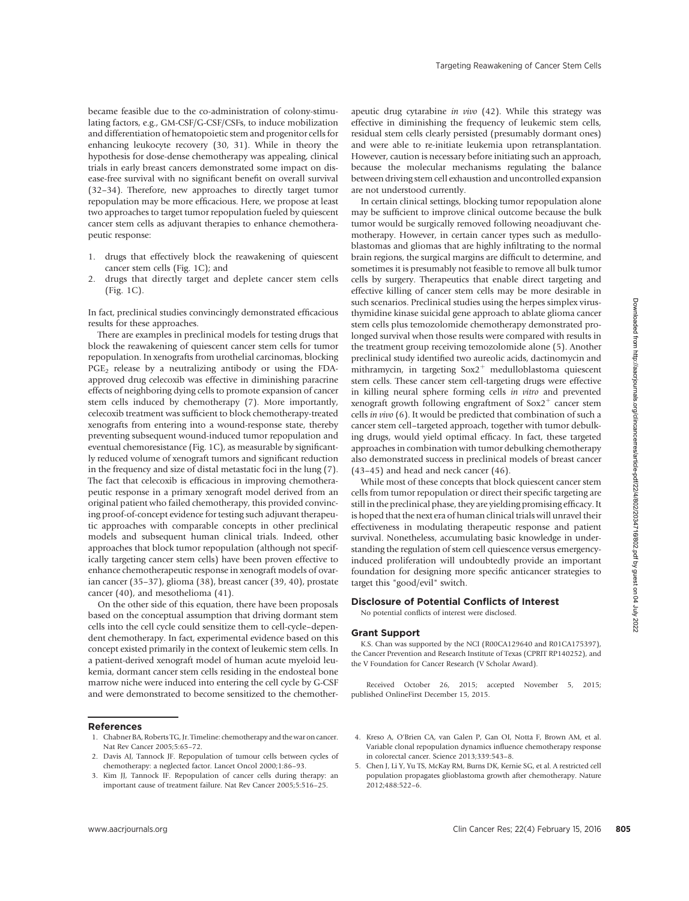became feasible due to the co-administration of colony-stimulating factors, e.g., GM-CSF/G-CSF/CSFs, to induce mobilization and differentiation of hematopoietic stem and progenitor cells for enhancing leukocyte recovery (30, 31). While in theory the hypothesis for dose-dense chemotherapy was appealing, clinical trials in early breast cancers demonstrated some impact on disease-free survival with no significant benefit on overall survival (32–34). Therefore, new approaches to directly target tumor repopulation may be more efficacious. Here, we propose at least two approaches to target tumor repopulation fueled by quiescent cancer stem cells as adjuvant therapies to enhance chemotherapeutic response:

- 1. drugs that effectively block the reawakening of quiescent cancer stem cells (Fig. 1C); and
- 2. drugs that directly target and deplete cancer stem cells (Fig. 1C).

In fact, preclinical studies convincingly demonstrated efficacious results for these approaches.

There are examples in preclinical models for testing drugs that block the reawakening of quiescent cancer stem cells for tumor repopulation. In xenografts from urothelial carcinomas, blocking  $PGE<sub>2</sub>$  release by a neutralizing antibody or using the FDAapproved drug celecoxib was effective in diminishing paracrine effects of neighboring dying cells to promote expansion of cancer stem cells induced by chemotherapy (7). More importantly, celecoxib treatment was sufficient to block chemotherapy-treated xenografts from entering into a wound-response state, thereby preventing subsequent wound-induced tumor repopulation and eventual chemoresistance (Fig. 1C), as measurable by significantly reduced volume of xenograft tumors and significant reduction in the frequency and size of distal metastatic foci in the lung (7). The fact that celecoxib is efficacious in improving chemotherapeutic response in a primary xenograft model derived from an original patient who failed chemotherapy, this provided convincing proof-of-concept evidence for testing such adjuvant therapeutic approaches with comparable concepts in other preclinical models and subsequent human clinical trials. Indeed, other approaches that block tumor repopulation (although not specifically targeting cancer stem cells) have been proven effective to enhance chemotherapeutic response in xenograft models of ovarian cancer (35–37), glioma (38), breast cancer (39, 40), prostate cancer (40), and mesothelioma (41).

On the other side of this equation, there have been proposals based on the conceptual assumption that driving dormant stem cells into the cell cycle could sensitize them to cell-cycle–dependent chemotherapy. In fact, experimental evidence based on this concept existed primarily in the context of leukemic stem cells. In a patient-derived xenograft model of human acute myeloid leukemia, dormant cancer stem cells residing in the endosteal bone marrow niche were induced into entering the cell cycle by G-CSF and were demonstrated to become sensitized to the chemother-

#### References

- 1. Chabner BA, Roberts TG, Jr. Timeline: chemotherapy and the war on cancer. Nat Rev Cancer 2005;5:65–72.
- 2. Davis AJ, Tannock JF. Repopulation of tumour cells between cycles of chemotherapy: a neglected factor. Lancet Oncol 2000;1:86–93.
- 3. Kim JJ, Tannock IF. Repopulation of cancer cells during therapy: an important cause of treatment failure. Nat Rev Cancer 2005;5:516–25.

apeutic drug cytarabine in vivo (42). While this strategy was effective in diminishing the frequency of leukemic stem cells, residual stem cells clearly persisted (presumably dormant ones) and were able to re-initiate leukemia upon retransplantation. However, caution is necessary before initiating such an approach, because the molecular mechanisms regulating the balance between driving stem cell exhaustion and uncontrolled expansion are not understood currently.

In certain clinical settings, blocking tumor repopulation alone may be sufficient to improve clinical outcome because the bulk tumor would be surgically removed following neoadjuvant chemotherapy. However, in certain cancer types such as medulloblastomas and gliomas that are highly infiltrating to the normal brain regions, the surgical margins are difficult to determine, and sometimes it is presumably not feasible to remove all bulk tumor cells by surgery. Therapeutics that enable direct targeting and effective killing of cancer stem cells may be more desirable in such scenarios. Preclinical studies using the herpes simplex virusthymidine kinase suicidal gene approach to ablate glioma cancer stem cells plus temozolomide chemotherapy demonstrated prolonged survival when those results were compared with results in the treatment group receiving temozolomide alone (5). Another preclinical study identified two aureolic acids, dactinomycin and mithramycin, in targeting  $Sox2^+$  medulloblastoma quiescent stem cells. These cancer stem cell-targeting drugs were effective in killing neural sphere forming cells in vitro and prevented xenograft growth following engraftment of  $Sox2<sup>+</sup>$  cancer stem cells in vivo (6). It would be predicted that combination of such a cancer stem cell–targeted approach, together with tumor debulking drugs, would yield optimal efficacy. In fact, these targeted approaches in combination with tumor debulking chemotherapy also demonstrated success in preclinical models of breast cancer (43–45) and head and neck cancer (46).

While most of these concepts that block quiescent cancer stem cells from tumor repopulation or direct their specific targeting are still in the preclinical phase, they are yielding promising efficacy. It is hoped that the next era of human clinical trials will unravel their effectiveness in modulating therapeutic response and patient survival. Nonetheless, accumulating basic knowledge in understanding the regulation of stem cell quiescence versus emergencyinduced proliferation will undoubtedly provide an important foundation for designing more specific anticancer strategies to target this "good/evil" switch.

## Disclosure of Potential Conflicts of Interest

No potential conflicts of interest were disclosed.

#### Grant Support

K.S. Chan was supported by the NCI (R00CA129640 and R01CA175397), the Cancer Prevention and Research Institute of Texas (CPRIT RP140252), and the V Foundation for Cancer Research (V Scholar Award).

Received October 26, 2015; accepted November 5, 2015; published OnlineFirst December 15, 2015.

- 4. Kreso A, O'Brien CA, van Galen P, Gan OI, Notta F, Brown AM, et al. Variable clonal repopulation dynamics influence chemotherapy response in colorectal cancer. Science 2013;339:543–8.
- 5. Chen J, Li Y, Yu TS, McKay RM, Burns DK, Kernie SG, et al. A restricted cell population propagates glioblastoma growth after chemotherapy. Nature 2012;488:522–6.